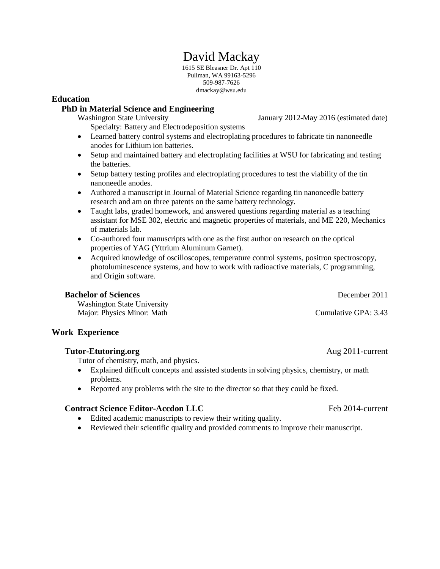# David Mackay

1615 SE Bleasner Dr. Apt 110 Pullman, WA 99163-5296 509-987-7626 dmackay@wsu.edu

## **Education**

## **PhD in Material Science and Engineering**

Specialty: Battery and Electrodeposition systems

Washington State University January 2012-May 2016 (estimated date)

- Learned battery control systems and electroplating procedures to fabricate tin nanoneedle anodes for Lithium ion batteries.
- Setup and maintained battery and electroplating facilities at WSU for fabricating and testing the batteries.
- Setup battery testing profiles and electroplating procedures to test the viability of the tin nanoneedle anodes.
- Authored a manuscript in Journal of Material Science regarding tin nanoneedle battery research and am on three patents on the same battery technology.
- Taught labs, graded homework, and answered questions regarding material as a teaching assistant for MSE 302, electric and magnetic properties of materials, and ME 220, Mechanics of materials lab.
- Co-authored four manuscripts with one as the first author on research on the optical properties of YAG (Yttrium Aluminum Garnet).
- Acquired knowledge of oscilloscopes, temperature control systems, positron spectroscopy, photoluminescence systems, and how to work with radioactive materials, C programming, and Origin software.

## **Bachelor of Sciences**

Washington State University Major: Physics Minor: Math

## **Work Experience**

## **Tutor-Etutoring.org** Aug 2011-current

Tutor of chemistry, math, and physics.

- Explained difficult concepts and assisted students in solving physics, chemistry, or math problems.
- Reported any problems with the site to the director so that they could be fixed.

## **Contract Science Editor-Accdon LLC** Feb 2014-current

- Edited academic manuscripts to review their writing quality.
- Reviewed their scientific quality and provided comments to improve their manuscript.

December 2011

Cumulative GPA: 3.43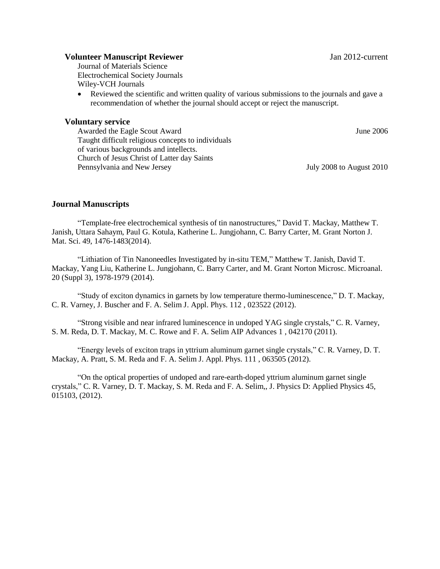### **Volunteer Manuscript Reviewer** Jan 2012-current

Journal of Materials Science Electrochemical Society Journals Wiley-VCH Journals

 Reviewed the scientific and written quality of various submissions to the journals and gave a recommendation of whether the journal should accept or reject the manuscript.

### **Voluntary service**

June 2006

Awarded the Eagle Scout Award Taught difficult religious concepts to individuals of various backgrounds and intellects. Church of Jesus Christ of Latter day Saints Pennsylvania and New Jersey

July 2008 to August 2010

## **Journal Manuscripts**

"Template-free electrochemical synthesis of tin nanostructures," David T. Mackay, Matthew T. Janish, Uttara Sahaym, Paul G. Kotula, Katherine L. Jungjohann, C. Barry Carter, M. Grant Norton J. Mat. Sci. 49, 1476-1483(2014).

"Lithiation of Tin Nanoneedles Investigated by in-situ TEM," Matthew T. Janish, David T. Mackay, Yang Liu, Katherine L. Jungjohann, C. Barry Carter, and M. Grant Norton Microsc. Microanal. 20 (Suppl 3), 1978-1979 (2014).

"Study of exciton dynamics in garnets by low temperature thermo-luminescence," D. T. Mackay, C. R. Varney, J. Buscher and F. A. Selim J. Appl. Phys. 112 , 023522 (2012).

"Strong visible and near infrared luminescence in undoped YAG single crystals," C. R. Varney, S. M. Reda, D. T. Mackay, M. C. Rowe and F. A. Selim AIP Advances 1 , 042170 (2011).

"Energy levels of exciton traps in yttrium aluminum garnet single crystals," C. R. Varney, D. T. Mackay, A. Pratt, S. M. Reda and F. A. Selim J. Appl. Phys. 111 , 063505 (2012).

"On the optical properties of undoped and rare-earth-doped yttrium aluminum garnet single crystals," C. R. Varney, D. T. Mackay, S. M. Reda and F. A. Selim,, J. Physics D: Applied Physics 45, 015103, (2012).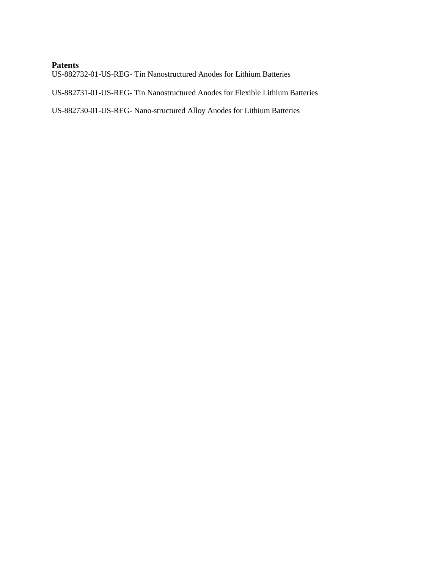## **Patents**

US-882732-01-US-REG- Tin Nanostructured Anodes for Lithium Batteries

US-882731-01-US-REG- Tin Nanostructured Anodes for Flexible Lithium Batteries

US-882730-01-US-REG- Nano-structured Alloy Anodes for Lithium Batteries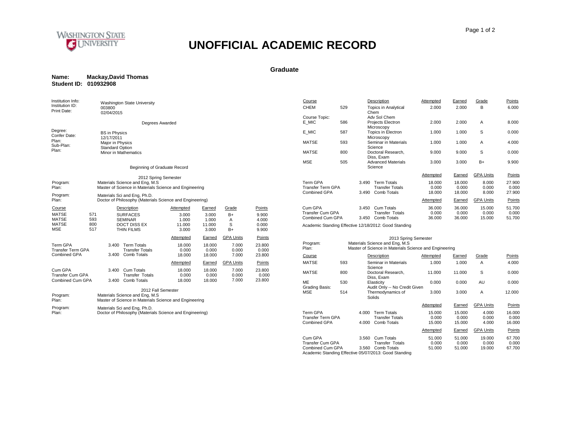

#### **Graduate**

| Name:                 | <b>Mackay, David Thomas</b> |
|-----------------------|-----------------------------|
| Student ID: 010932908 |                             |

| Institution Info:<br>Institution ID:                                                             | Washington State University                                                                                     |                                                |                                             |                                    |                                            | Course                                                 |     | Description                                                                                                              | Attempted                 | Earned                    | Grade                     | Points                    |
|--------------------------------------------------------------------------------------------------|-----------------------------------------------------------------------------------------------------------------|------------------------------------------------|---------------------------------------------|------------------------------------|--------------------------------------------|--------------------------------------------------------|-----|--------------------------------------------------------------------------------------------------------------------------|---------------------------|---------------------------|---------------------------|---------------------------|
| Print Date:                                                                                      | 003800<br>02/04/2015                                                                                            |                                                |                                             |                                    |                                            | <b>CHEM</b>                                            | 529 | <b>Topics in Analytical</b><br>Chem                                                                                      | 2.000                     | 2.000                     | B                         | 6.000                     |
|                                                                                                  | Degrees Awarded                                                                                                 |                                                |                                             |                                    |                                            | Course Topic:<br>E MIC                                 | 586 | Adv Sol Chem<br>Projects Electron<br>Microscopy                                                                          | 2.000                     | 2.000                     | A                         | 8.000                     |
| Degree:<br>Confer Date:                                                                          | <b>BS</b> in Physics<br>12/17/2011                                                                              |                                                |                                             |                                    |                                            | E MIC                                                  | 587 | Topics in Electron<br>Microscopy                                                                                         | 1.000                     | 1.000                     | S                         | 0.000                     |
| Plan:<br>Sub-Plan:                                                                               | Major in Physics<br><b>Standard Option</b>                                                                      |                                                |                                             |                                    |                                            | <b>MATSE</b>                                           | 593 | Seminar in Materials<br>Science                                                                                          | 1.000                     | 1.000                     | A                         | 4.000                     |
| Plan:                                                                                            | Minor in Mathematics                                                                                            |                                                |                                             |                                    |                                            | <b>MATSE</b>                                           | 800 | Doctoral Research,<br>Diss. Exam                                                                                         | 9.000                     | 9.000                     | S                         | 0.000                     |
|                                                                                                  | Beginning of Graduate Record                                                                                    |                                                |                                             |                                    |                                            | <b>MSE</b>                                             | 505 | <b>Advanced Materials</b><br>Science                                                                                     | 3.000                     | 3.000                     | $B+$                      | 9.900                     |
|                                                                                                  | 2012 Spring Semester                                                                                            |                                                |                                             |                                    |                                            |                                                        |     |                                                                                                                          | Attempted                 | Earned                    | <b>GPA Units</b>          | Points                    |
| Program:<br>Plan:                                                                                | Materials Science and Eng, M.S.<br>Master of Science in Materials Science and Engineering                       |                                                |                                             |                                    |                                            | Term GPA<br><b>Transfer Term GPA</b><br>Combined GPA   |     | 3.490 Term Totals<br><b>Transfer Totals</b><br>3.490 Comb Totals                                                         | 18.000<br>0.000<br>18.000 | 18.000<br>0.000<br>18.000 | 8.000<br>0.000<br>8.000   | 27.900<br>0.000<br>27,900 |
| Program:<br>Plan:                                                                                | Materials Sci and Eng, Ph.D.<br>Doctor of Philosophy (Materials Science and Engineering)                        |                                                |                                             |                                    |                                            |                                                        |     |                                                                                                                          | Attempted                 | Earned                    | <b>GPA Units</b>          | Points                    |
| Course<br><b>MATSE</b><br>571<br><b>MATSE</b><br>593<br><b>MATSE</b><br>800<br><b>MSE</b><br>517 | Description<br><b>SURFACES</b><br><b>SEMINAR</b><br><b>DOCT DISS EX</b><br><b>THIN FILMS</b>                    | Attempted<br>3.000<br>1.000<br>11.000<br>3.000 | Earned<br>3.000<br>1.000<br>11.000<br>3.000 | Grade<br>$B+$<br>A<br>S<br>$B+$    | Points<br>9.900<br>4.000<br>0.000<br>9.900 | Cum GPA<br><b>Transfer Cum GPA</b><br>Combined Cum GPA |     | 3.450 Cum Totals<br><b>Transfer Totals</b><br>3.450 Comb Totals<br>Academic Standing Effective 12/18/2012: Good Standing | 36.000<br>0.000<br>36.000 | 36,000<br>0.000<br>36.000 | 15.000<br>0.000<br>15,000 | 51.700<br>0.000<br>51.700 |
| Term GPA<br><b>Transfer Term GPA</b>                                                             | 3.400 Term Totals<br><b>Transfer Totals</b>                                                                     | <b>Attempted</b><br>18.000<br>0.000            | Earned<br>18.000<br>0.000                   | <b>GPA Units</b><br>7.000<br>0.000 | Points<br>23.800<br>0.000                  | Program:<br>Plan:                                      |     | 2013 Spring Semester<br>Materials Science and Eng, M.S.<br>Master of Science in Materials Science and Engineering        |                           |                           |                           |                           |
| Combined GPA                                                                                     | 3.400 Comb Totals                                                                                               | 18.000                                         | 18.000                                      | 7.000                              | 23.800                                     | Course                                                 |     | Description                                                                                                              | Attempted                 | Earned                    | Grade                     | Points                    |
|                                                                                                  |                                                                                                                 | Attempted                                      | Earned                                      | <b>GPA Units</b>                   | Points                                     | <b>MATSE</b>                                           | 593 | Seminar in Materials<br>Science                                                                                          | 1.000                     | 1.000                     | Α                         | 4.000                     |
| Cum GPA<br>Transfer Cum GPA                                                                      | 3.400 Cum Totals<br><b>Transfer Totals</b>                                                                      | 18.000<br>0.000                                | 18.000<br>0.000                             | 7.000<br>0.000                     | 23.800<br>0.000                            | <b>MATSE</b>                                           | 800 | Doctoral Research.<br>Diss. Exam                                                                                         | 11.000                    | 11.000                    | S                         | 0.000                     |
| Combined Cum GPA                                                                                 | 3.400 Comb Totals                                                                                               | 18.000                                         | 18.000                                      | 7.000                              | 23.800                                     | <b>ME</b><br><b>Grading Basis:</b>                     | 530 | Elasticity<br>Audit Only -- No Credit Given                                                                              | 0.000                     | 0.000                     | AU                        | 0.000                     |
| Program:<br>Plan:                                                                                | 2012 Fall Semester<br>Materials Science and Eng, M.S.<br>Master of Science in Materials Science and Engineering |                                                |                                             |                                    |                                            | <b>MSE</b>                                             | 514 | Thermodynamics of<br>Solids                                                                                              | 3.000                     | 3.000                     | A                         | 12.000                    |
| Program:                                                                                         | Materials Sci and Eng, Ph.D.                                                                                    |                                                |                                             |                                    |                                            |                                                        |     |                                                                                                                          | Attempted                 | Earned                    | <b>GPA Units</b>          | Points                    |
| Plan:                                                                                            | Doctor of Philosophy (Materials Science and Engineering)                                                        |                                                |                                             |                                    |                                            | Term GPA<br><b>Transfer Term GPA</b><br>Combined GPA   |     | 4.000 Term Totals<br><b>Transfer Totals</b><br>4.000 Comb Totals                                                         | 15,000<br>0.000<br>15.000 | 15.000<br>0.000<br>15.000 | 4.000<br>0.000<br>4.000   | 16.000<br>0.000<br>16.000 |

Cum GPA Transfer Cum GPA Combined Cum GPA 3.560 Cum Totals Transfer Totals 3.560 Comb Totals

Academic Standing Effective 05/07/2013: Good Standing

**Attempted** 

Earned GPA Units Points

51.000 51.000 19.000 67.700 0.000 0.000 0.000 0.000 51.000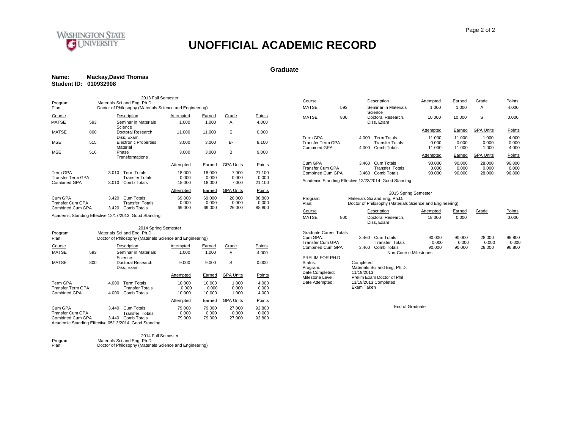

#### **Graduate**

#### **Name: Mackay,David Thomas Student ID: 010932908**

| 2013 Fall Semester<br>Materials Sci and Eng, Ph.D.<br>Program: |                                      |                                                             |                                                                                                                                |                           |                                                          |                           |  |  |  |  |
|----------------------------------------------------------------|--------------------------------------|-------------------------------------------------------------|--------------------------------------------------------------------------------------------------------------------------------|---------------------------|----------------------------------------------------------|---------------------------|--|--|--|--|
| Plan:                                                          |                                      |                                                             |                                                                                                                                |                           |                                                          |                           |  |  |  |  |
|                                                                |                                      |                                                             | Attempted                                                                                                                      | Earned                    | Grade                                                    | Points                    |  |  |  |  |
| 593                                                            |                                      |                                                             | 1.000                                                                                                                          | 1.000                     | A                                                        | 4.000                     |  |  |  |  |
| 800                                                            |                                      |                                                             | 11.000                                                                                                                         | 11.000                    | S                                                        | 0.000                     |  |  |  |  |
| 515                                                            |                                      |                                                             | 3.000                                                                                                                          | 3.000                     | B-                                                       | 8.100                     |  |  |  |  |
| 516<br>Phase<br>Transformations                                |                                      |                                                             | 3.000                                                                                                                          | 3.000                     | B                                                        | 9.000                     |  |  |  |  |
|                                                                |                                      |                                                             | Attempted                                                                                                                      | Earned                    | <b>GPA Units</b>                                         | Points                    |  |  |  |  |
| Term GPA<br>Transfer Term GPA<br>Combined GPA                  |                                      | <b>Term Totals</b><br><b>Transfer Totals</b><br>Comb Totals | 18.000<br>0.000<br>18.000                                                                                                      | 18.000<br>0.000<br>18.000 | 7.000<br>0.000<br>7.000                                  | 21.100<br>0.000<br>21.100 |  |  |  |  |
|                                                                |                                      |                                                             | Attempted                                                                                                                      | Earned                    | <b>GPA Units</b>                                         | Points                    |  |  |  |  |
|                                                                | 3.420<br>3.420                       | Cum Totals<br><b>Transfer Totals</b><br>Comb Totals         | 69.000<br>0.000<br>69.000                                                                                                      | 69.000<br>0.000<br>69.000 | 26,000<br>0.000<br>26.000                                | 88,800<br>0.000<br>88.800 |  |  |  |  |
|                                                                | Transfer Cum GPA<br>Combined Cum GPA | 3.010<br>3.010                                              | Description<br>Seminar in Materials<br>Science<br>Doctoral Research,<br>Diss, Exam<br><b>Electronic Properties</b><br>Material |                           | Doctor of Philosophy (Materials Science and Engineering) |                           |  |  |  |  |

Academic Standing Effective 12/17/2013: Good Standing

| 2014 Spring Semester                                                                                                                                                                                                                                                                           |                |                                                             |                           |                           |                         |                         |  |  |  |  |
|------------------------------------------------------------------------------------------------------------------------------------------------------------------------------------------------------------------------------------------------------------------------------------------------|----------------|-------------------------------------------------------------|---------------------------|---------------------------|-------------------------|-------------------------|--|--|--|--|
| Materials Sci and Eng, Ph.D.<br>Program:<br>Doctor of Philosophy (Materials Science and Engineering)<br>Plan:                                                                                                                                                                                  |                |                                                             |                           |                           |                         |                         |  |  |  |  |
| Course                                                                                                                                                                                                                                                                                         |                | Description                                                 | Attempted                 | Earned                    | Grade                   | Points                  |  |  |  |  |
| <b>MATSE</b>                                                                                                                                                                                                                                                                                   | 593            | Seminar in Materials                                        | 1.000                     | 1.000                     | A                       | 4.000                   |  |  |  |  |
| <b>MATSE</b>                                                                                                                                                                                                                                                                                   | 800            | Science<br>Doctoral Research.<br>Diss. Exam                 | 9.000                     | 9.000                     | S                       | 0.000                   |  |  |  |  |
|                                                                                                                                                                                                                                                                                                |                |                                                             | Attempted                 | Earned                    | <b>GPA Units</b>        | Points                  |  |  |  |  |
| Term GPA<br>Transfer Term GPA<br>Combined GPA                                                                                                                                                                                                                                                  | 4.000<br>4.000 | <b>Term Totals</b><br><b>Transfer Totals</b><br>Comb Totals | 10.000<br>0.000<br>10.000 | 10.000<br>0.000<br>10.000 | 1.000<br>0.000<br>1.000 | 4.000<br>0.000<br>4.000 |  |  |  |  |
|                                                                                                                                                                                                                                                                                                |                |                                                             | Attempted                 | Earned                    | <b>GPA Units</b>        | Points                  |  |  |  |  |
| Cum GPA<br>Cum Totals<br>92.800<br>79.000<br>79.000<br>27.000<br>3.440<br>0.000<br>0.000<br>Transfer Cum GPA<br>0.000<br>Transfer Totals<br>0.000<br>Combined Cum GPA<br>Comb Totals<br>27,000<br>92.800<br>3.440<br>79.000<br>79.000<br>Academic Standing Effective 05/13/2014: Good Standing |                |                                                             |                           |                           |                         |                         |  |  |  |  |

|          | 2014 Fall Semester                                       |
|----------|----------------------------------------------------------|
| Program: | Materials Sci and Eng, Ph.D.                             |
| Plan:    | Doctor of Philosophy (Materials Science and Engineering) |

| Course                                               | Description |                                                                       |                                                             | Attempted                 | Earned                    | Grade                     | Points                    |
|------------------------------------------------------|-------------|-----------------------------------------------------------------------|-------------------------------------------------------------|---------------------------|---------------------------|---------------------------|---------------------------|
| <b>MATSE</b>                                         | 593         |                                                                       | Seminar in Materials<br>Science                             | 1.000                     | 1.000                     | A                         | 4.000                     |
| <b>MATSE</b>                                         | 800         |                                                                       | Doctoral Research.<br>Diss, Exam                            | 10.000                    | 10.000                    | S                         | 0.000                     |
|                                                      |             |                                                                       |                                                             | Attempted                 | Earned                    | <b>GPA Units</b>          | Points                    |
| <b>Term GPA</b><br>Transfer Term GPA<br>Combined GPA |             | 4.000<br>4.000                                                        | <b>Term Totals</b><br><b>Transfer Totals</b><br>Comb Totals | 11.000<br>0.000<br>11.000 | 11.000<br>0.000<br>11.000 | 1.000<br>0.000<br>1.000   | 4.000<br>0.000<br>4.000   |
|                                                      |             |                                                                       |                                                             | Attempted                 | Earned                    | <b>GPA Units</b>          | Points                    |
| Cum GPA<br>Transfer Cum GPA<br>Combined Cum GPA      |             | Cum Totals<br>3.460<br><b>Transfer Totals</b><br>Comb Totals<br>3.460 |                                                             | 90.000<br>0.000<br>90.000 | 90.000<br>0.000<br>90.000 | 28.000<br>0.000<br>28,000 | 96.800<br>0.000<br>96.800 |
|                                                      |             |                                                                       |                                                             |                           |                           |                           |                           |

Academic Standing Effective 12/23/2014: Good Standing

|                        |     |                                                          | 2015 Spring Semester             |           |        |        |        |  |  |  |
|------------------------|-----|----------------------------------------------------------|----------------------------------|-----------|--------|--------|--------|--|--|--|
| Program:               |     | Materials Sci and Eng, Ph.D.                             |                                  |           |        |        |        |  |  |  |
| Plan:                  |     | Doctor of Philosophy (Materials Science and Engineering) |                                  |           |        |        |        |  |  |  |
| Course                 |     |                                                          | Description                      | Attempted | Earned | Grade  | Points |  |  |  |
| <b>MATSE</b>           | 800 |                                                          | Doctoral Research.<br>Diss, Exam | 18.000    | 0.000  |        | 0.000  |  |  |  |
| Graduate Career Totals |     |                                                          |                                  |           |        |        |        |  |  |  |
| Cum GPA:               |     | 3.460                                                    | Cum Totals                       | 90.000    | 90.000 | 28.000 | 96.800 |  |  |  |
| Transfer Cum GPA       |     |                                                          | <b>Transfer Totals</b>           | 0.000     | 0.000  | 0.000  | 0.000  |  |  |  |
| Combined Cum GPA       |     | 3.460                                                    | Comb Totals                      | 90.000    | 90.000 | 28,000 | 96.800 |  |  |  |
|                        |     |                                                          | Non-Course Milestones            |           |        |        |        |  |  |  |
| PRELIM FOR PH.D.       |     |                                                          |                                  |           |        |        |        |  |  |  |
| Status:                |     | Completed                                                |                                  |           |        |        |        |  |  |  |
| Program:               |     |                                                          | Materials Sci and Eng, Ph.D.     |           |        |        |        |  |  |  |
| Date Completed:        |     | 11/19/2013                                               |                                  |           |        |        |        |  |  |  |
| Milestone Level:       |     |                                                          | Prelim Exam Doctor of Phil       |           |        |        |        |  |  |  |
| Date Attempted:        |     |                                                          | 11/19/2013 Completed             |           |        |        |        |  |  |  |
|                        |     | Exam Taken                                               |                                  |           |        |        |        |  |  |  |

79.000 27.000 92.800 End of Graduate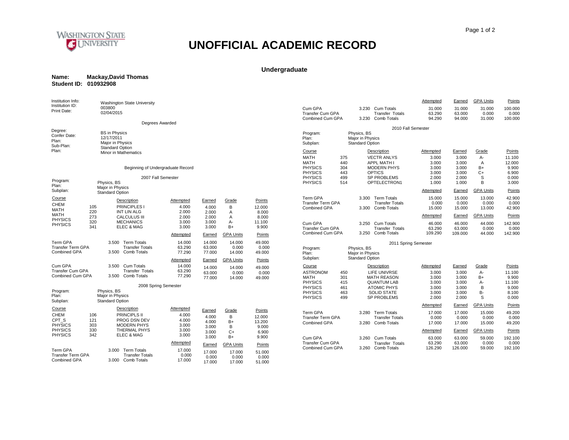

### **Undergraduate**

| Name:                 | <b>Mackay, David Thomas</b> |  |
|-----------------------|-----------------------------|--|
| Student ID: 010932908 |                             |  |

| Institution Info:                                                                | <b>Washington State University</b>                                               |                                      |                            |                           |                            |                                                                      |                          |                                                                               | Attempted                        | Earned                           | <b>GPA Units</b>             | Points                            |
|----------------------------------------------------------------------------------|----------------------------------------------------------------------------------|--------------------------------------|----------------------------|---------------------------|----------------------------|----------------------------------------------------------------------|--------------------------|-------------------------------------------------------------------------------|----------------------------------|----------------------------------|------------------------------|-----------------------------------|
| Institution ID:<br>Print Date:                                                   | 003800<br>02/04/2015                                                             |                                      |                            |                           |                            | Cum GPA<br><b>Transfer Cum GPA</b><br>Combined Cum GPA               |                          | Cum Totals<br>3.230<br><b>Transfer Totals</b><br>3.230 Comb Totals            | 31.000<br>63.290<br>94.290       | 31.000<br>63.000<br>94.000       | 31.000<br>0.000<br>31.000    | 100.000<br>0.000<br>100.000       |
|                                                                                  |                                                                                  | Degrees Awarded                      |                            |                           |                            |                                                                      |                          | 2010 Fall Semester                                                            |                                  |                                  |                              |                                   |
| Degree:<br>Confer Date:<br>Plan:<br>Sub-Plan:                                    | <b>BS</b> in Physics<br>12/17/2011<br>Major in Physics<br><b>Standard Option</b> |                                      |                            |                           |                            | Program:<br>Plan:<br>Subplan:                                        |                          | Physics, BS<br>Major in Physics<br><b>Standard Option</b>                     |                                  |                                  |                              |                                   |
| Plan:                                                                            | <b>Minor in Mathematics</b>                                                      |                                      |                            |                           |                            | Course                                                               |                          | Description                                                                   | Attempted                        | Earned                           | Grade                        | Points                            |
|                                                                                  |                                                                                  | Beginning of Undergraduate Record    |                            |                           |                            | <b>MATH</b><br><b>MATH</b><br><b>PHYSICS</b>                         | 375<br>440<br>304        | <b>VECTR ANLYS</b><br><b>APPL MATH I</b><br><b>MODERN PHYS</b>                | 3.000<br>3.000<br>3.000          | 3.000<br>3.000<br>3.000          | А-<br>$\overline{A}$<br>$B+$ | 11.100<br>12.000<br>9.900         |
| Program:<br>Plan:                                                                | Physics, BS                                                                      | 2007 Fall Semester                   |                            |                           |                            | <b>PHYSICS</b><br><b>PHYSICS</b><br><b>PHYSICS</b>                   | 443<br>499<br>514        | <b>OPTICS</b><br>SP PROBLEMS<br>OPTELECTRON1                                  | 3.000<br>2.000<br>1.000          | 3.000<br>2.000<br>1.000          | $C+$<br>S<br>B               | 6.900<br>0.000<br>3.000           |
| Subplan:                                                                         | Major in Physics<br><b>Standard Option</b>                                       |                                      |                            |                           |                            |                                                                      |                          |                                                                               | Attempted                        | Earned                           | <b>GPA Units</b>             | Points                            |
| <b>Course</b><br>CHEM<br>105<br><b>MATH</b>                                      | Description<br>PRINCIPLES I                                                      | Attempted<br>4.000                   | Earned<br>4.000            | Grade<br>В                | Points<br>12.000           | <b>Term GPA</b><br><b>Transfer Term GPA</b><br>Combined GPA          |                          | 3.300 Term Totals<br><b>Transfer Totals</b><br>3.300 Comb Totals              | 15.000<br>0.000<br>15.000        | 15.000<br>0.000<br>15.000        | 13.000<br>0.000<br>13.000    | 42.900<br>0.000<br>42.900         |
| 220<br><b>MATH</b><br>273                                                        | <b>INT LIN ALG</b><br><b>CALCULUS III</b>                                        | 2.000<br>2.000                       | 2.000<br>2.000             | A<br>A                    | 8.000<br>8.000             |                                                                      |                          |                                                                               | Attempted                        | Earned                           | <b>GPA Units</b>             | Points                            |
| <b>PHYSICS</b><br>320<br><b>PHYSICS</b><br>341                                   | <b>MECHANICS</b><br>ELEC & MAG                                                   | 3.000<br>3.000                       | 3.000<br>3.000             | $A -$<br>$B+$             | 11.100<br>9.900            | Cum GPA<br><b>Transfer Cum GPA</b>                                   |                          | 3.250 Cum Totals<br><b>Transfer Totals</b>                                    | 46.000<br>63.290                 | 46.000<br>63.000                 | 44.000<br>0.000              | 142.900<br>0.000                  |
|                                                                                  |                                                                                  | <b>Attempted</b>                     | Earned                     | <b>GPA Units</b>          | Points                     | Combined Cum GPA                                                     |                          | 3.250 Comb Totals                                                             | 109.290                          | 109.000                          | 44.000                       | 142.900                           |
| Term GPA<br><b>Transfer Term GPA</b><br>Combined GPA                             | 3.500 Term Totals<br><b>Transfer Totals</b><br>3.500 Comb Totals                 | 14.000<br>63.290<br>77.290           | 14.000<br>63.000<br>77.000 | 14.000<br>0.000<br>14.000 | 49.000<br>0.000<br>49.000  | Program:<br>Plan:                                                    |                          | 2011 Spring Semester<br>Physics, BS<br>Major in Physics                       |                                  |                                  |                              |                                   |
|                                                                                  |                                                                                  | Attempted                            | Earned                     | <b>GPA Units</b>          | Points                     | Subplan:                                                             |                          | <b>Standard Option</b>                                                        |                                  |                                  |                              |                                   |
| Cum GPA<br><b>Transfer Cum GPA</b><br>Combined Cum GPA                           | 3.500 Cum Totals<br><b>Transfer Totals</b><br>3.500 Comb Totals                  | 14.000<br>63.290<br>77.290           | 14.000<br>63.000<br>77,000 | 14.000<br>0.000<br>14.000 | 49.000<br>0.000<br>49.000  | Course<br><b>ASTRONOM</b><br><b>MATH</b>                             | 450<br>301               | Description<br><b>LIFE UNIVRSE</b><br><b>MATH REASON</b>                      | Attempted<br>3.000<br>3.000      | Earned<br>3.000<br>3.000         | Grade<br>$A -$<br>B+         | Points<br>11.100<br>9.900         |
| Program:<br>Plan:                                                                | Physics, BS<br>Major in Physics                                                  | 2008 Spring Semester                 |                            |                           |                            | <b>PHYSICS</b><br><b>PHYSICS</b><br><b>PHYSICS</b><br><b>PHYSICS</b> | 415<br>461<br>463<br>499 | <b>QUANTUM LAB</b><br><b>ATOMIC PHYS</b><br><b>SOLID STATE</b><br>SP PROBLEMS | 3.000<br>3.000<br>3.000<br>2.000 | 3.000<br>3.000<br>3.000<br>2.000 | A-<br>B<br>в-<br>S           | 11.100<br>9.000<br>8.100<br>0.000 |
| Subplan:                                                                         | <b>Standard Option</b>                                                           |                                      |                            |                           |                            |                                                                      |                          |                                                                               | Attempted                        | Earned                           | <b>GPA Units</b>             | Points                            |
| Course<br><b>CHEM</b><br>106<br>CPT <sub>S</sub><br>121<br><b>PHYSICS</b><br>303 | Description<br>PRINCIPLS II<br>PROG DSN DEV<br><b>MODERN PHYS</b>                | Attempted<br>4.000<br>4.000<br>3.000 | Earned<br>4.000<br>4.000   | Grade<br>B<br>$B+$<br>B   | Points<br>12.000<br>13.200 | Term GPA<br><b>Transfer Term GPA</b><br>Combined GPA                 |                          | 3.280 Term Totals<br><b>Transfer Totals</b><br>3.280 Comb Totals              | 17.000<br>0.000<br>17.000        | 17.000<br>0.000<br>17.000        | 15.000<br>0.000<br>15.000    | 49.200<br>0.000<br>49.200         |
| <b>PHYSICS</b><br>330                                                            | <b>THERMAL PHYS</b>                                                              | 3.000                                | 3.000<br>3.000             | $C+$                      | 9.000<br>6.900             |                                                                      |                          |                                                                               | Attempted                        | Earned                           | <b>GPA Units</b>             | Points                            |
| <b>PHYSICS</b><br>342                                                            | ELEC & MAG                                                                       | 3.000                                | 3.000                      | $B+$                      | 9.900                      | Cum GPA                                                              |                          | 3.260 Cum Totals                                                              | 63.000                           | 63.000                           | 59.000                       | 192.100                           |
|                                                                                  |                                                                                  | Attempted                            | Earned                     | <b>GPA Units</b>          | Points                     | <b>Transfer Cum GPA</b><br>Combined Cum GPA                          |                          | <b>Transfer Totals</b><br>3.260 Comb Totals                                   | 63.290<br>126.290                | 63.000<br>126.000                | 0.000<br>59.000              | 0.000<br>192.100                  |
| Term GPA<br><b>Transfer Term GPA</b><br>Combined GPA                             | 3.000 Term Totals<br><b>Transfer Totals</b><br>3.000 Comb Totals                 | 17.000<br>0.000<br>17.000            | 17.000<br>0.000<br>17.000  | 17.000<br>0.000<br>17.000 | 51.000<br>0.000<br>51.000  |                                                                      |                          |                                                                               |                                  |                                  |                              |                                   |